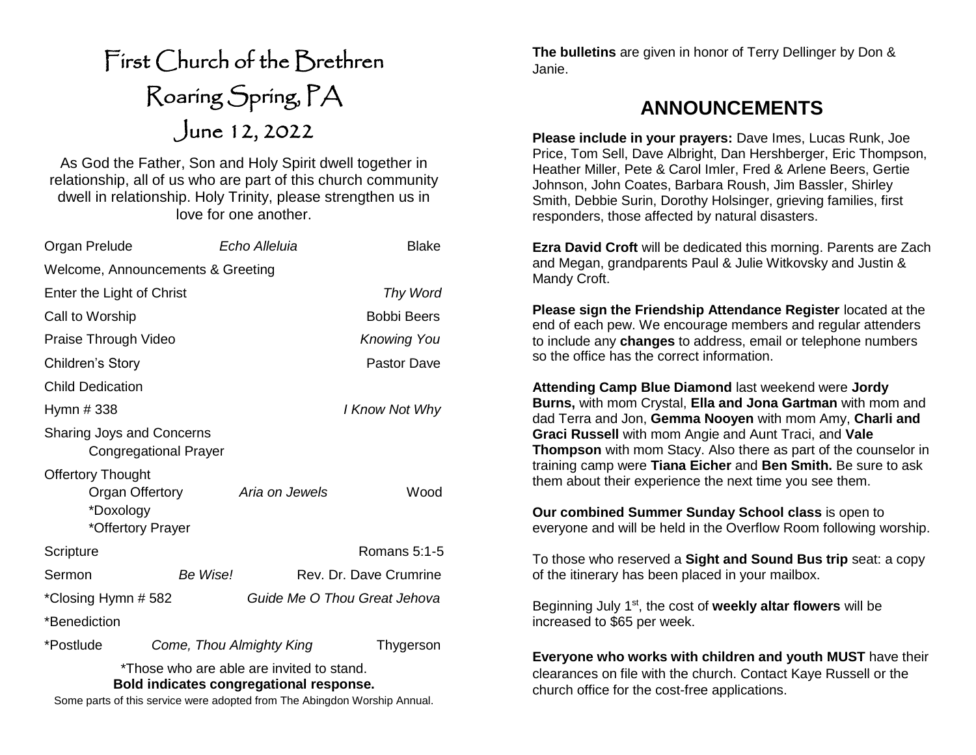# First Church of the Brethren Roaring Spring, PA June 12, 2022

As God the Father, Son and Holy Spirit dwell together in relationship, all of us who are part of this church community dwell in relationship. Holy Trinity, please strengthen us in love for one another.

| Organ Prelude                                                                                                                                                     | <b>Blake</b><br>Echo Alleluia         |  |
|-------------------------------------------------------------------------------------------------------------------------------------------------------------------|---------------------------------------|--|
| Welcome, Announcements & Greeting                                                                                                                                 |                                       |  |
| Enter the Light of Christ                                                                                                                                         | Thy Word                              |  |
| Call to Worship                                                                                                                                                   | <b>Bobbi Beers</b>                    |  |
| Praise Through Video                                                                                                                                              | <b>Knowing You</b>                    |  |
| Children's Story                                                                                                                                                  | <b>Pastor Dave</b>                    |  |
| <b>Child Dedication</b>                                                                                                                                           |                                       |  |
| Hymn # 338                                                                                                                                                        | I Know Not Why                        |  |
| Sharing Joys and Concerns<br><b>Congregational Prayer</b>                                                                                                         |                                       |  |
| <b>Offertory Thought</b><br>Organ Offertory<br>*Doxology<br>*Offertory Prayer                                                                                     | Aria on Jewels<br>Wood                |  |
| Scripture                                                                                                                                                         | Romans $5:1-5$                        |  |
| Be Wise!<br>Sermon                                                                                                                                                | Rev. Dr. Dave Crumrine                |  |
| *Closing Hymn # 582                                                                                                                                               | Guide Me O Thou Great Jehova          |  |
| *Benediction                                                                                                                                                      |                                       |  |
| *Postlude                                                                                                                                                         | Come, Thou Almighty King<br>Thygerson |  |
| *Those who are able are invited to stand.<br>Bold indicates congregational response.<br>Some parts of this service were adopted from The Abingdon Worship Annual. |                                       |  |

**The bulletins** are given in honor of Terry Dellinger by Don & Janie.

## **ANNOUNCEMENTS**

**Please include in your prayers:** Dave Imes, Lucas Runk, Joe Price, Tom Sell, Dave Albright, Dan Hershberger, Eric Thompson, Heather Miller, Pete & Carol Imler, Fred & Arlene Beers, Gertie Johnson, John Coates, Barbara Roush, Jim Bassler, Shirley Smith, Debbie Surin, Dorothy Holsinger, grieving families, first responders, those affected by natural disasters.

**Ezra David Croft** will be dedicated this morning. Parents are Zach and Megan, grandparents Paul & Julie Witkovsky and Justin & Mandy Croft.

**Please sign the Friendship Attendance Register** located at the end of each pew. We encourage members and regular attenders to include any **changes** to address, email or telephone numbers so the office has the correct information.

**Attending Camp Blue Diamond** last weekend were **Jordy Burns,** with mom Crystal, **Ella and Jona Gartman** with mom and dad Terra and Jon, **Gemma Nooyen** with mom Amy, **Charli and Graci Russell** with mom Angie and Aunt Traci, and **Vale Thompson** with mom Stacy. Also there as part of the counselor in training camp were **Tiana Eicher** and **Ben Smith.** Be sure to ask them about their experience the next time you see them.

**Our combined Summer Sunday School class** is open to everyone and will be held in the Overflow Room following worship.

To those who reserved a **Sight and Sound Bus trip** seat: a copy of the itinerary has been placed in your mailbox.

Beginning July 1st, the cost of **weekly altar flowers** will be increased to \$65 per week.

**Everyone who works with children and youth MUST** have their clearances on file with the church. Contact Kaye Russell or the church office for the cost-free applications.